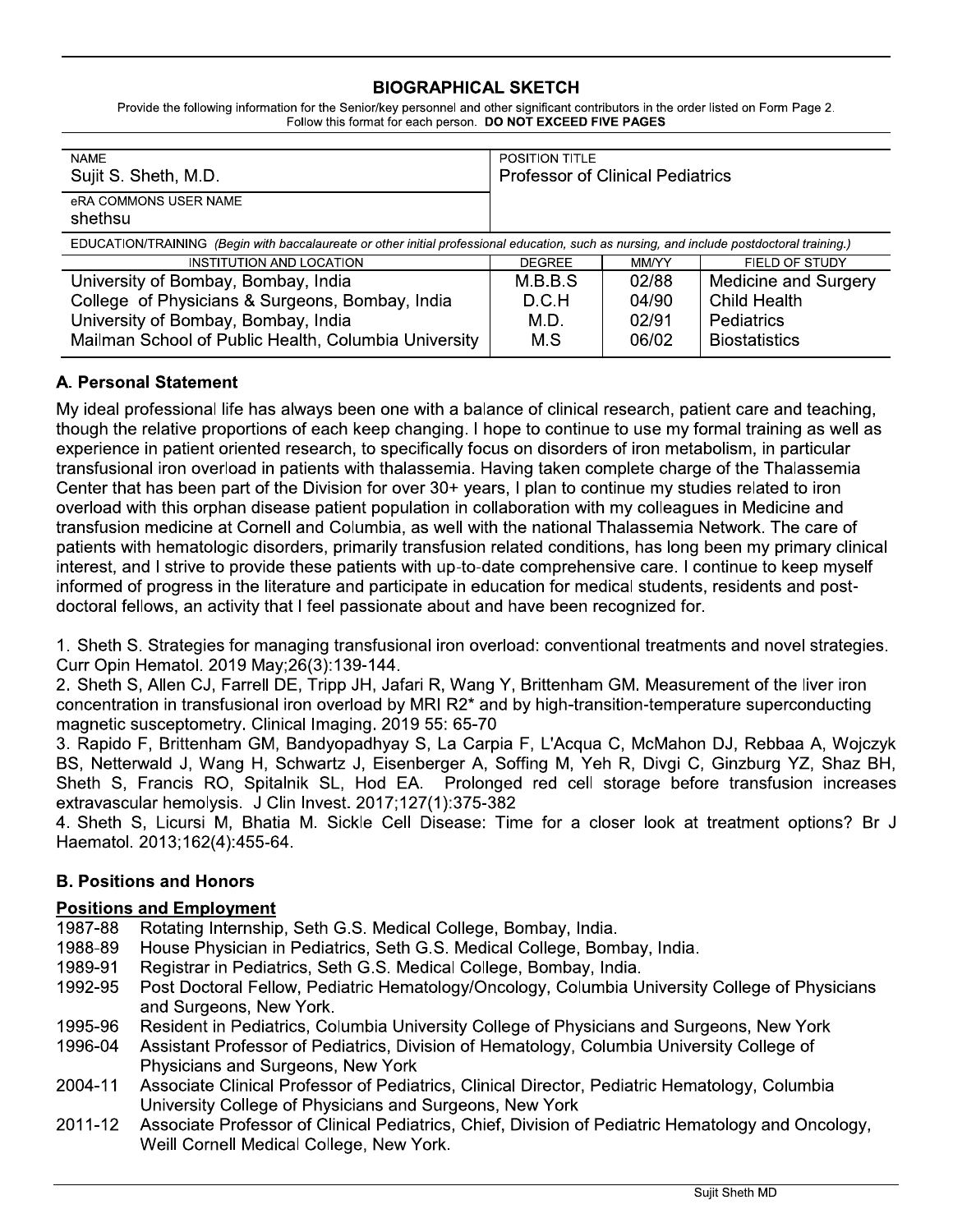# **BIOGRAPHICAL SKETCH**

Provide the following information for the Senior/key personnel and other significant contributors in the order listed on Form Page 2. Follow this format for each person. DO NOT EXCEED FIVE PAGES

| <b>NAME</b><br>Sujit S. Sheth, M.D.                                                                                                        | <b>POSITION TITLE</b><br><b>Professor of Clinical Pediatrics</b> |       |                      |
|--------------------------------------------------------------------------------------------------------------------------------------------|------------------------------------------------------------------|-------|----------------------|
| eRA COMMONS USER NAME<br>shethsu                                                                                                           |                                                                  |       |                      |
| EDUCATION/TRAINING (Begin with baccalaureate or other initial professional education, such as nursing, and include postdoctoral training.) |                                                                  |       |                      |
| INSTITUTION AND LOCATION                                                                                                                   | <b>DEGREE</b>                                                    | MM/YY | FIELD OF STUDY       |
| University of Bombay, Bombay, India                                                                                                        | M.B.B.S                                                          | 02/88 | Medicine and Surgery |
| College of Physicians & Surgeons, Bombay, India                                                                                            | D.C.H                                                            | 04/90 | <b>Child Health</b>  |
| University of Bombay, Bombay, India                                                                                                        | M.D.                                                             | 02/91 | <b>Pediatrics</b>    |
| Mailman School of Public Health, Columbia University                                                                                       | M.S                                                              | 06/02 | <b>Biostatistics</b> |

# A. Personal Statement

My ideal professional life has always been one with a balance of clinical research, patient care and teaching, though the relative proportions of each keep changing. I hope to continue to use my formal training as well as experience in patient oriented research, to specifically focus on disorders of iron metabolism, in particular transfusional iron overload in patients with thalassemia. Having taken complete charge of the Thalassemia Center that has been part of the Division for over 30+ years, I plan to continue my studies related to iron overload with this orphan disease patient population in collaboration with my colleagues in Medicine and transfusion medicine at Cornell and Columbia, as well with the national Thalassemia Network. The care of patients with hematologic disorders, primarily transfusion related conditions, has long been my primary clinical interest, and I strive to provide these patients with up-to-date comprehensive care. I continue to keep myself informed of progress in the literature and participate in education for medical students, residents and postdoctoral fellows, an activity that I feel passionate about and have been recognized for.

1. Sheth S. Strategies for managing transfusional iron overload: conventional treatments and novel strategies. Curr Opin Hematol. 2019 May; 26(3): 139-144.

2. Sheth S, Allen CJ, Farrell DE, Tripp JH, Jafari R, Wang Y, Brittenham GM. Measurement of the liver iron concentration in transfusional iron overload by MRI R2\* and by high-transition-temperature superconducting magnetic susceptometry. Clinical Imaging. 2019 55: 65-70

3. Rapido F, Brittenham GM, Bandyopadhyay S, La Carpia F, L'Acqua C, McMahon DJ, Rebbaa A, Wojczyk BS, Netterwald J, Wang H, Schwartz J, Eisenberger A, Soffing M, Yeh R, Divgi C, Ginzburg YZ, Shaz BH, Sheth S, Francis RO, Spitalnik SL, Hod EA. Prolonged red cell storage before transfusion increases extravascular hemolysis. J Clin Invest. 2017;127(1):375-382

4. Sheth S, Licursi M, Bhatia M. Sickle Cell Disease: Time for a closer look at treatment options? Br J Haematol. 2013;162(4):455-64.

### **B. Positions and Honors**

### **Positions and Employment**

- 1987-88 Rotating Internship, Seth G.S. Medical College, Bombay, India.
- House Physician in Pediatrics, Seth G.S. Medical College, Bombay, India. 1988-89
- 1989-91 Registrar in Pediatrics, Seth G.S. Medical College, Bombay, India.
- Post Doctoral Fellow, Pediatric Hematology/Oncology, Columbia University College of Physicians 1992-95 and Surgeons, New York.
- Resident in Pediatrics, Columbia University College of Physicians and Surgeons, New York 1995-96
- Assistant Professor of Pediatrics, Division of Hematology, Columbia University College of 1996-04 Physicians and Surgeons, New York
- 2004-11 Associate Clinical Professor of Pediatrics, Clinical Director, Pediatric Hematology, Columbia University College of Physicians and Surgeons, New York
- Associate Professor of Clinical Pediatrics, Chief, Division of Pediatric Hematology and Oncology, 2011-12 Weill Cornell Medical College, New York.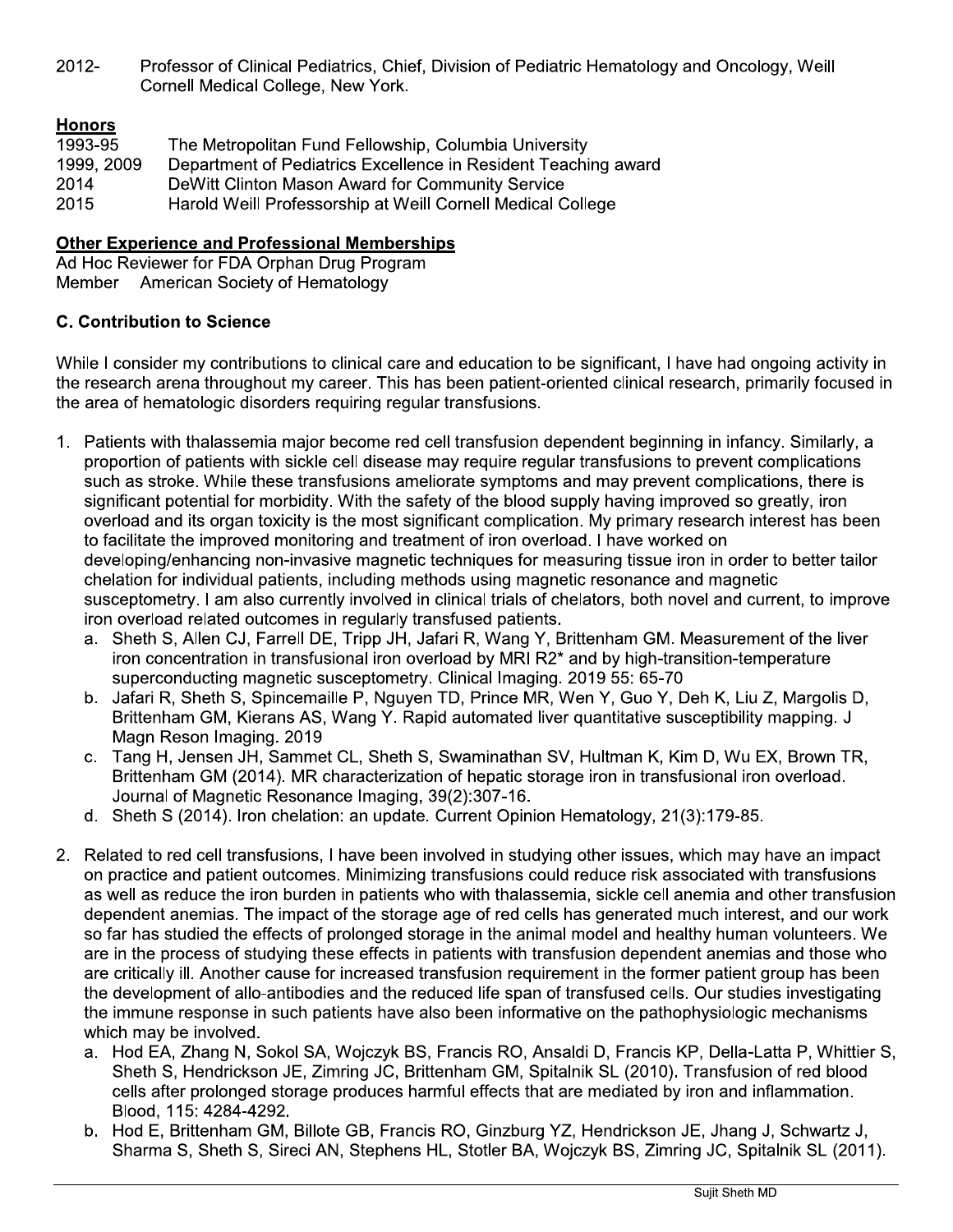Professor of Clinical Pediatrics, Chief, Division of Pediatric Hematology and Oncology, Weill  $2012 -$ Cornell Medical College, New York.

# **Honors**

| 1993-95    | The Metropolitan Fund Fellowship, Columbia University          |
|------------|----------------------------------------------------------------|
| 1999, 2009 | Department of Pediatrics Excellence in Resident Teaching award |
| 2014       | DeWitt Clinton Mason Award for Community Service               |
| 2015       | Harold Weill Professorship at Weill Cornell Medical College    |

#### **Other Experience and Professional Memberships**

Ad Hoc Reviewer for FDA Orphan Drug Program Member American Society of Hematology

### **C. Contribution to Science**

While I consider my contributions to clinical care and education to be significant, I have had ongoing activity in the research arena throughout my career. This has been patient-oriented clinical research, primarily focused in the area of hematologic disorders requiring regular transfusions.

- Patients with thalassemia major become red cell transfusion dependent beginning in infancy. Similarly, a 1. proportion of patients with sickle cell disease may require regular transfusions to prevent complications such as stroke. While these transfusions ameliorate symptoms and may prevent complications, there is significant potential for morbidity. With the safety of the blood supply having improved so greatly, iron overload and its organ toxicity is the most significant complication. My primary research interest has been to facilitate the improved monitoring and treatment of iron overload. I have worked on developing/enhancing non-invasive magnetic techniques for measuring tissue iron in order to better tailor chelation for individual patients, including methods using magnetic resonance and magnetic susceptometry. I am also currently involved in clinical trials of chelators, both novel and current, to improve iron overload related outcomes in regularly transfused patients.
	- a. Sheth S, Allen CJ, Farrell DE, Tripp JH, Jafari R, Wang Y, Brittenham GM. Measurement of the liver iron concentration in transfusional iron overload by MRI R2\* and by high-transition-temperature superconducting magnetic susceptometry. Clinical Imaging. 2019 55: 65-70
	- b. Jafari R, Sheth S, Spincemaille P, Nguyen TD, Prince MR, Wen Y, Guo Y, Deh K, Liu Z, Margolis D, Brittenham GM, Kierans AS, Wang Y. Rapid automated liver quantitative susceptibility mapping. J Magn Reson Imaging. 2019
	- c. Tang H, Jensen JH, Sammet CL, Sheth S, Swaminathan SV, Hultman K, Kim D, Wu EX, Brown TR, Brittenham GM (2014). MR characterization of hepatic storage iron in transfusional iron overload. Journal of Magnetic Resonance Imaging, 39(2):307-16.
	- d. Sheth S (2014). Iron chelation: an update. Current Opinion Hematology, 21(3):179-85.
- 2. Related to red cell transfusions, I have been involved in studying other issues, which may have an impact on practice and patient outcomes. Minimizing transfusions could reduce risk associated with transfusions as well as reduce the iron burden in patients who with thalassemia, sickle cell anemia and other transfusion dependent anemias. The impact of the storage age of red cells has generated much interest, and our work so far has studied the effects of prolonged storage in the animal model and healthy human volunteers. We are in the process of studying these effects in patients with transfusion dependent anemias and those who are critically ill. Another cause for increased transfusion requirement in the former patient group has been the development of allo-antibodies and the reduced life span of transfused cells. Our studies investigating the immune response in such patients have also been informative on the pathophysiologic mechanisms which may be involved.
	- a. Hod EA, Zhang N, Sokol SA, Wojczyk BS, Francis RO, Ansaldi D, Francis KP, Della-Latta P, Whittier S, Sheth S, Hendrickson JE, Zimring JC, Brittenham GM, Spitalnik SL (2010). Transfusion of red blood cells after prolonged storage produces harmful effects that are mediated by iron and inflammation. Blood, 115: 4284-4292.
	- b. Hod E, Brittenham GM, Billote GB, Francis RO, Ginzburg YZ, Hendrickson JE, Jhang J, Schwartz J, Sharma S, Sheth S, Sireci AN, Stephens HL, Stotler BA, Wojczyk BS, Zimring JC, Spitalnik SL (2011).